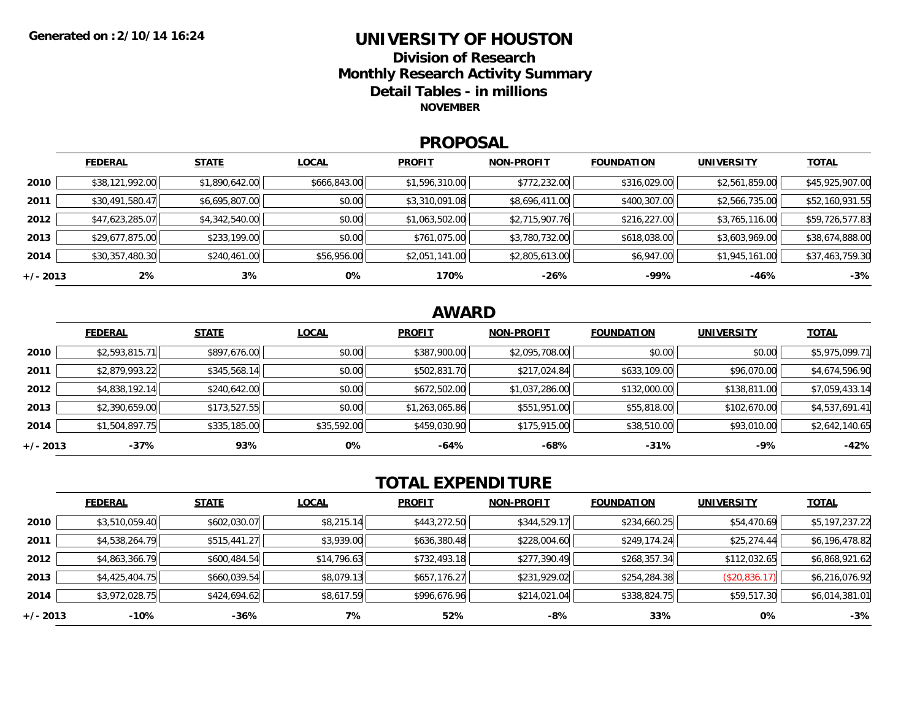### **UNIVERSITY OF HOUSTONDivision of ResearchMonthly Research Activity Summary Detail Tables - in millions NOVEMBER**

### **PROPOSAL**

|            | <b>FEDERAL</b>  | <b>STATE</b>   | <b>LOCAL</b> | <b>PROFIT</b>  | <b>NON-PROFIT</b> | <b>FOUNDATION</b> | <b>UNIVERSITY</b> | <b>TOTAL</b>    |
|------------|-----------------|----------------|--------------|----------------|-------------------|-------------------|-------------------|-----------------|
| 2010       | \$38,121,992.00 | \$1,890,642.00 | \$666,843.00 | \$1,596,310.00 | \$772,232.00      | \$316,029.00      | \$2,561,859.00    | \$45,925,907.00 |
| 2011       | \$30,491,580.47 | \$6,695,807.00 | \$0.00       | \$3,310,091.08 | \$8,696,411.00    | \$400,307.00      | \$2,566,735.00    | \$52,160,931.55 |
| 2012       | \$47,623,285.07 | \$4,342,540.00 | \$0.00       | \$1,063,502.00 | \$2,715,907.76    | \$216,227.00      | \$3,765,116.00    | \$59,726,577.83 |
| 2013       | \$29,677,875.00 | \$233,199.00   | \$0.00       | \$761,075.00   | \$3,780,732.00    | \$618,038.00      | \$3,603,969.00    | \$38,674,888.00 |
| 2014       | \$30,357,480.30 | \$240,461.00   | \$56,956.00  | \$2,051,141.00 | \$2,805,613.00    | \$6,947.00        | \$1,945,161.00    | \$37,463,759.30 |
| $+/- 2013$ | 2%              | $3\%$          | $0\%$        | 170%           | -26%              | -99%              | $-46%$            | $-3%$           |

## **AWARD**

|          | <b>FEDERAL</b> | <b>STATE</b> | <b>LOCAL</b> | <b>PROFIT</b>  | <b>NON-PROFIT</b> | <b>FOUNDATION</b> | <b>UNIVERSITY</b> | <b>TOTAL</b>   |
|----------|----------------|--------------|--------------|----------------|-------------------|-------------------|-------------------|----------------|
| 2010     | \$2,593,815.71 | \$897,676.00 | \$0.00       | \$387,900.00   | \$2,095,708.00    | \$0.00            | \$0.00            | \$5,975,099.71 |
| 2011     | \$2,879,993.22 | \$345,568.14 | \$0.00       | \$502,831.70   | \$217,024.84      | \$633,109.00      | \$96,070.00       | \$4,674,596.90 |
| 2012     | \$4,838,192.14 | \$240,642.00 | \$0.00       | \$672,502.00   | \$1,037,286.00    | \$132,000.00      | \$138,811.00      | \$7,059,433.14 |
| 2013     | \$2,390,659.00 | \$173,527.55 | \$0.00       | \$1,263,065.86 | \$551,951.00      | \$55,818.00       | \$102,670.00      | \$4,537,691.41 |
| 2014     | \$1,504,897.75 | \$335,185.00 | \$35,592.00  | \$459,030.90   | \$175,915.00      | \$38,510.00       | \$93,010.00       | \$2,642,140.65 |
| +/- 2013 | $-37%$         | 93%          | 0%           | $-64%$         | -68%              | $-31%$            | $-9%$             | $-42%$         |

# **TOTAL EXPENDITURE**

|          | <b>FEDERAL</b> | <b>STATE</b> | <b>LOCAL</b> | <b>PROFIT</b> | <b>NON-PROFIT</b> | <b>FOUNDATION</b> | <b>UNIVERSITY</b> | <b>TOTAL</b>   |
|----------|----------------|--------------|--------------|---------------|-------------------|-------------------|-------------------|----------------|
| 2010     | \$3,510,059.40 | \$602,030.07 | \$8,215.14   | \$443,272.50  | \$344,529.17      | \$234,660.25      | \$54,470.69       | \$5,197,237.22 |
| 2011     | \$4,538,264.79 | \$515,441.27 | \$3,939.00   | \$636,380.48  | \$228,004.60      | \$249,174.24      | \$25,274.44       | \$6,196,478.82 |
| 2012     | \$4,863,366.79 | \$600,484.54 | \$14,796.63  | \$732,493.18  | \$277,390.49      | \$268,357.34      | \$112,032.65      | \$6,868,921.62 |
| 2013     | \$4,425,404.75 | \$660,039.54 | \$8,079.13   | \$657,176.27  | \$231,929.02      | \$254,284.38      | (\$20,836.17)     | \$6,216,076.92 |
| 2014     | \$3,972,028.75 | \$424,694.62 | \$8,617.59   | \$996,676.96  | \$214,021.04      | \$338,824.75      | \$59,517.30       | \$6,014,381.01 |
| +/- 2013 | -10%           | $-36%$       | 7%           | 52%           | -8%               | 33%               | 0%                | $-3%$          |